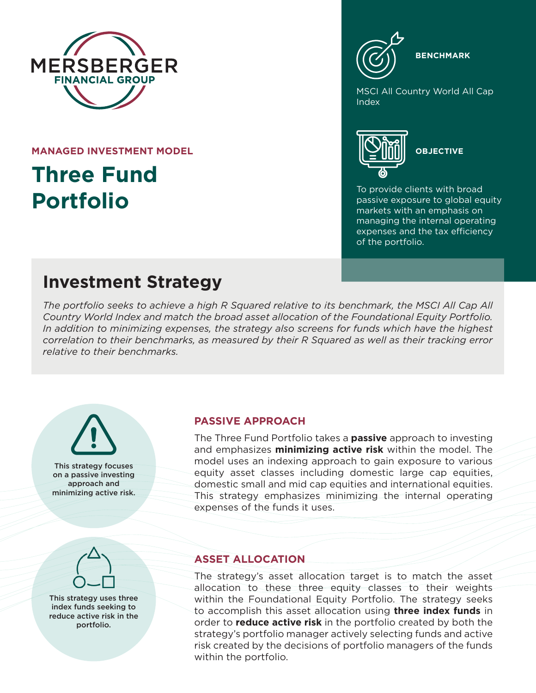

**MANAGED INVESTMENT MODEL**

# **Three Fund Portfolio**

**BENCHMARK**

MSCI All Country World All Cap Index



To provide clients with broad passive exposure to global equity markets with an emphasis on managing the internal operating expenses and the tax efficiency of the portfolio.

## **Investment Strategy**

*The portfolio seeks to achieve a high R Squared relative to its benchmark, the MSCI All Cap All Country World Index and match the broad asset allocation of the Foundational Equity Portfolio. In addition to minimizing expenses, the strategy also screens for funds which have the highest correlation to their benchmarks, as measured by their R Squared as well as their tracking error relative to their benchmarks.*

This strategy focuses on a passive investing approach and minimizing active risk.

### **PASSIVE APPROACH**

The Three Fund Portfolio takes a **passive** approach to investing and emphasizes **minimizing active risk** within the model. The model uses an indexing approach to gain exposure to various equity asset classes including domestic large cap equities, domestic small and mid cap equities and international equities. This strategy emphasizes minimizing the internal operating expenses of the funds it uses.



This strategy uses three index funds seeking to reduce active risk in the portfolio.

#### **ASSET ALLOCATION**

The strategy's asset allocation target is to match the asset allocation to these three equity classes to their weights within the Foundational Equity Portfolio. The strategy seeks to accomplish this asset allocation using **three index funds** in order to **reduce active risk** in the portfolio created by both the strategy's portfolio manager actively selecting funds and active risk created by the decisions of portfolio managers of the funds within the portfolio.